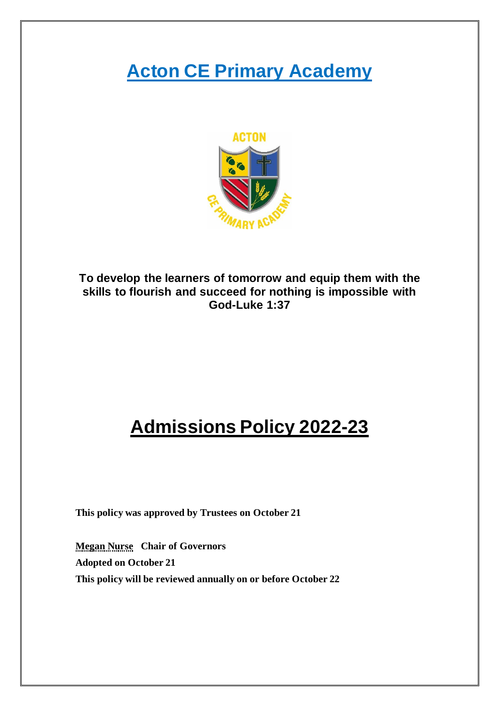# **Acton CE Primary Academy**



**To develop the learners of tomorrow and equip them with the skills to flourish and succeed for nothing is impossible with God-Luke 1:37**

# **Admissions Policy 2022-23**

**This policy was approved by Trustees on October 21**

**Megan Nurse Chair of Governors Adopted on October 21 This policy will be reviewed annually on or before October 22**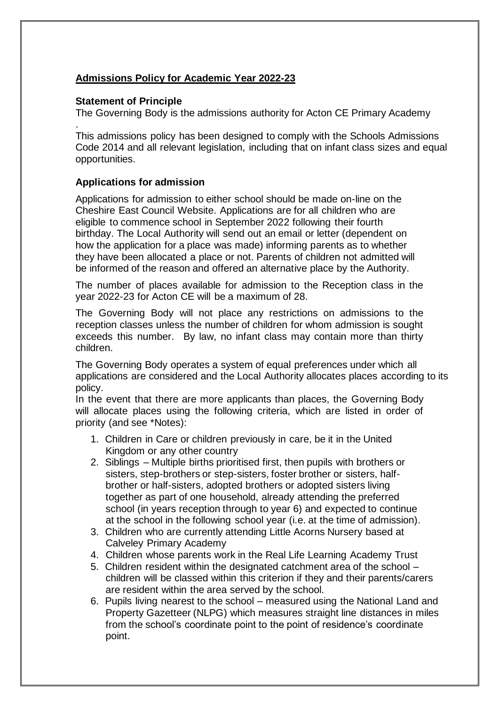# **Admissions Policy for Academic Year 2022-23**

# **Statement of Principle**

The Governing Body is the admissions authority for Acton CE Primary Academy

. This admissions policy has been designed to comply with the Schools Admissions Code 2014 and all relevant legislation, including that on infant class sizes and equal opportunities.

# **Applications for admission**

Applications for admission to either school should be made on-line on the Cheshire East Council Website. Applications are for all children who are eligible to commence school in September 2022 following their fourth birthday. The Local Authority will send out an email or letter (dependent on how the application for a place was made) informing parents as to whether they have been allocated a place or not. Parents of children not admitted will be informed of the reason and offered an alternative place by the Authority.

The number of places available for admission to the Reception class in the year 2022-23 for Acton CE will be a maximum of 28.

The Governing Body will not place any restrictions on admissions to the reception classes unless the number of children for whom admission is sought exceeds this number. By law, no infant class may contain more than thirty children.

The Governing Body operates a system of equal preferences under which all applications are considered and the Local Authority allocates places according to its policy.

In the event that there are more applicants than places, the Governing Body will allocate places using the following criteria, which are listed in order of priority (and see \*Notes):

- 1. Children in Care or children previously in care, be it in the United Kingdom or any other country
- 2. Siblings Multiple births prioritised first, then pupils with brothers or sisters, step-brothers or step-sisters, foster brother or sisters, halfbrother or half-sisters, adopted brothers or adopted sisters living together as part of one household, already attending the preferred school (in years reception through to year 6) and expected to continue at the school in the following school year (i.e. at the time of admission).
- 3. Children who are currently attending Little Acorns Nursery based at Calveley Primary Academy
- 4. Children whose parents work in the Real Life Learning Academy Trust
- 5. Children resident within the designated catchment area of the school children will be classed within this criterion if they and their parents/carers are resident within the area served by the school.
- 6. Pupils living nearest to the school measured using the National Land and Property Gazetteer (NLPG) which measures straight line distances in miles from the school's coordinate point to the point of residence's coordinate point.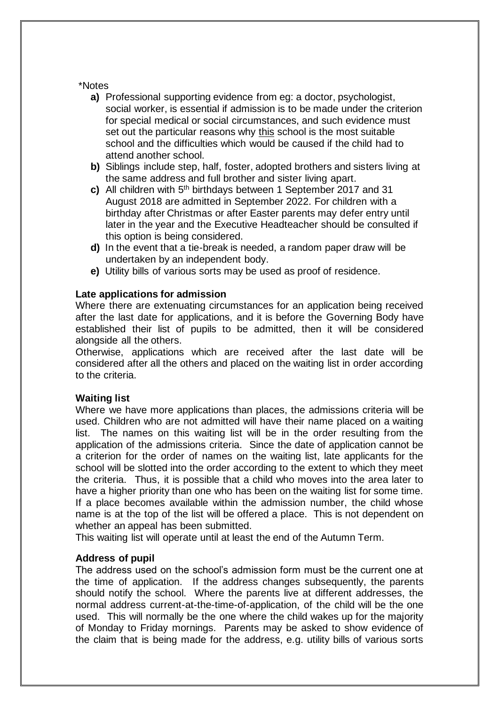### \*Notes

- **a)** Professional supporting evidence from eg: a doctor, psychologist, social worker, is essential if admission is to be made under the criterion for special medical or social circumstances, and such evidence must set out the particular reasons why this school is the most suitable school and the difficulties which would be caused if the child had to attend another school.
- **b)** Siblings include step, half, foster, adopted brothers and sisters living at the same address and full brother and sister living apart.
- c) All children with 5<sup>th</sup> birthdays between 1 September 2017 and 31 August 2018 are admitted in September 2022. For children with a birthday after Christmas or after Easter parents may defer entry until later in the year and the Executive Headteacher should be consulted if this option is being considered.
- **d)** In the event that a tie-break is needed, a random paper draw will be undertaken by an independent body.
- **e)** Utility bills of various sorts may be used as proof of residence.

# **Late applications for admission**

Where there are extenuating circumstances for an application being received after the last date for applications, and it is before the Governing Body have established their list of pupils to be admitted, then it will be considered alongside all the others.

Otherwise, applications which are received after the last date will be considered after all the others and placed on the waiting list in order according to the criteria.

### **Waiting list**

Where we have more applications than places, the admissions criteria will be used. Children who are not admitted will have their name placed on a waiting list. The names on this waiting list will be in the order resulting from the application of the admissions criteria. Since the date of application cannot be a criterion for the order of names on the waiting list, late applicants for the school will be slotted into the order according to the extent to which they meet the criteria. Thus, it is possible that a child who moves into the area later to have a higher priority than one who has been on the waiting list for some time. If a place becomes available within the admission number, the child whose name is at the top of the list will be offered a place. This is not dependent on whether an appeal has been submitted.

This waiting list will operate until at least the end of the Autumn Term.

### **Address of pupil**

The address used on the school's admission form must be the current one at the time of application. If the address changes subsequently, the parents should notify the school. Where the parents live at different addresses, the normal address current-at-the-time-of-application, of the child will be the one used. This will normally be the one where the child wakes up for the majority of Monday to Friday mornings. Parents may be asked to show evidence of the claim that is being made for the address, e.g. utility bills of various sorts